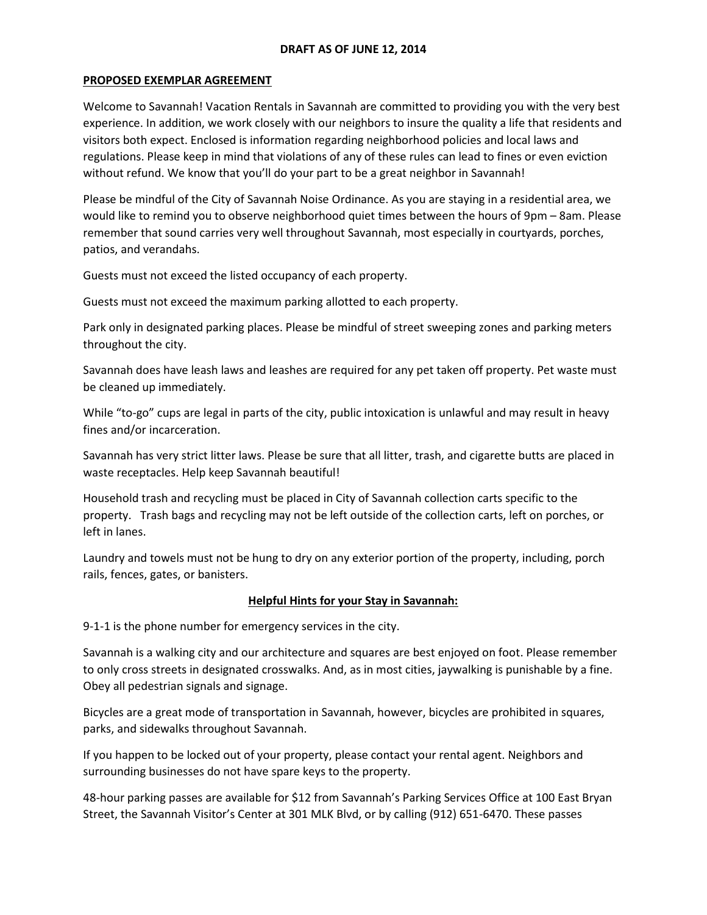## **DRAFT AS OF JUNE 12, 2014**

## **PROPOSED EXEMPLAR AGREEMENT**

Welcome to Savannah! Vacation Rentals in Savannah are committed to providing you with the very best experience. In addition, we work closely with our neighbors to insure the quality a life that residents and visitors both expect. Enclosed is information regarding neighborhood policies and local laws and regulations. Please keep in mind that violations of any of these rules can lead to fines or even eviction without refund. We know that you'll do your part to be a great neighbor in Savannah!

Please be mindful of the City of Savannah Noise Ordinance. As you are staying in a residential area, we would like to remind you to observe neighborhood quiet times between the hours of 9pm – 8am. Please remember that sound carries very well throughout Savannah, most especially in courtyards, porches, patios, and verandahs.

Guests must not exceed the listed occupancy of each property.

Guests must not exceed the maximum parking allotted to each property.

Park only in designated parking places. Please be mindful of street sweeping zones and parking meters throughout the city.

Savannah does have leash laws and leashes are required for any pet taken off property. Pet waste must be cleaned up immediately.

While "to-go" cups are legal in parts of the city, public intoxication is unlawful and may result in heavy fines and/or incarceration.

Savannah has very strict litter laws. Please be sure that all litter, trash, and cigarette butts are placed in waste receptacles. Help keep Savannah beautiful!

Household trash and recycling must be placed in City of Savannah collection carts specific to the property. Trash bags and recycling may not be left outside of the collection carts, left on porches, or left in lanes.

Laundry and towels must not be hung to dry on any exterior portion of the property, including, porch rails, fences, gates, or banisters.

## **Helpful Hints for your Stay in Savannah:**

9-1-1 is the phone number for emergency services in the city.

Savannah is a walking city and our architecture and squares are best enjoyed on foot. Please remember to only cross streets in designated crosswalks. And, as in most cities, jaywalking is punishable by a fine. Obey all pedestrian signals and signage.

Bicycles are a great mode of transportation in Savannah, however, bicycles are prohibited in squares, parks, and sidewalks throughout Savannah.

If you happen to be locked out of your property, please contact your rental agent. Neighbors and surrounding businesses do not have spare keys to the property.

48-hour parking passes are available for \$12 from Savannah's Parking Services Office at 100 East Bryan Street, the Savannah Visitor's Center at 301 MLK Blvd, or by calling (912) 651-6470. These passes